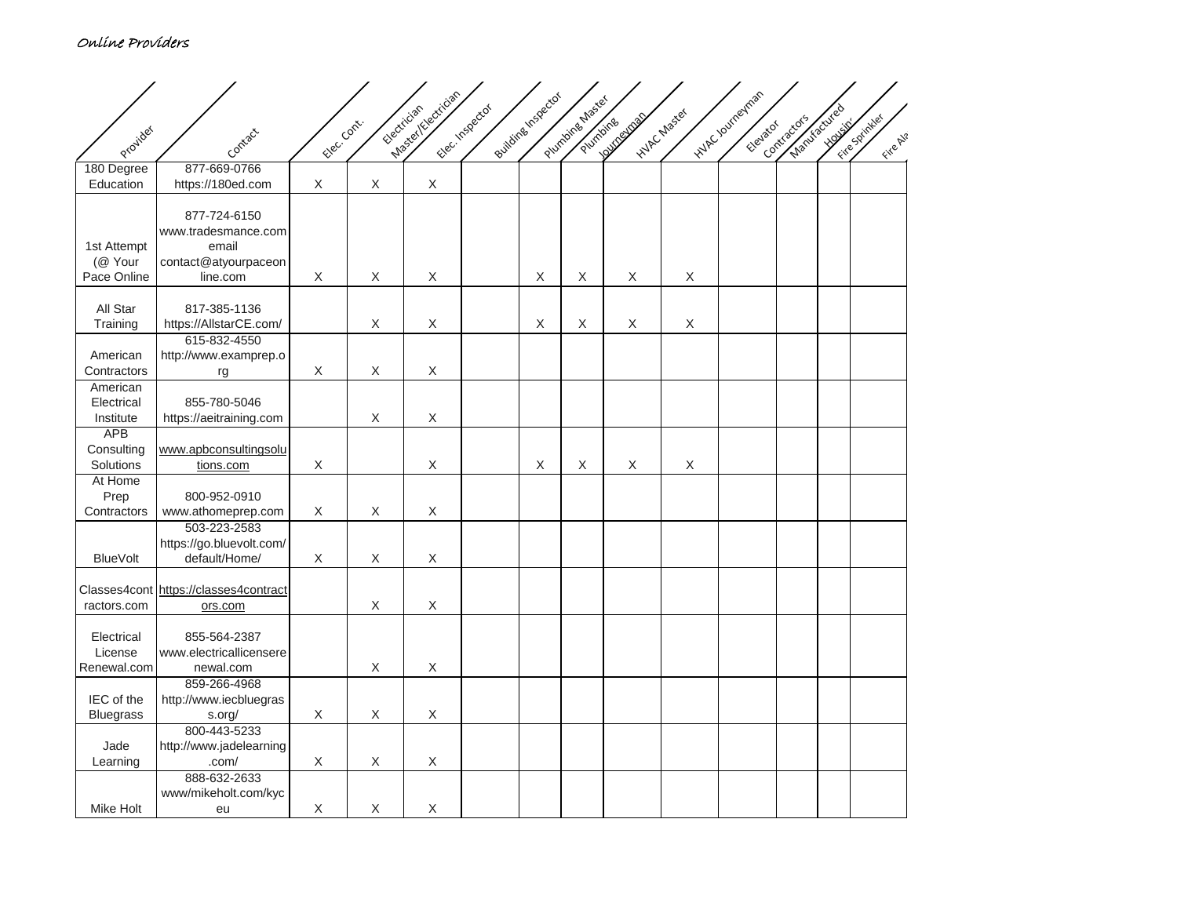## Online Providers

|                        |                                        |              |                           | Masey Yelectrician |                |                    |                 |                   |              | inder roungings |              |              |               |
|------------------------|----------------------------------------|--------------|---------------------------|--------------------|----------------|--------------------|-----------------|-------------------|--------------|-----------------|--------------|--------------|---------------|
|                        |                                        |              |                           | Electrician        | Electrispector | Buildine Inspector | Plumbing Master | <b>Automobile</b> | Hylp chaster |                 | Manufactured |              | Fire Spintler |
| Provider               | Contact                                | Elec. Contr. |                           |                    |                |                    | Plumbing        |                   |              | Elevator        | Contractors  | <b>HOUSE</b> | Fire Al?      |
|                        |                                        |              |                           |                    |                |                    |                 |                   |              |                 |              |              |               |
| 180 Degree             | 877-669-0766                           |              |                           |                    |                |                    |                 |                   |              |                 |              |              |               |
| Education              | https://180ed.com                      | $\mathsf X$  | $\boldsymbol{\mathsf{X}}$ | $\mathsf X$        |                |                    |                 |                   |              |                 |              |              |               |
|                        | 877-724-6150                           |              |                           |                    |                |                    |                 |                   |              |                 |              |              |               |
|                        | www.tradesmance.com                    |              |                           |                    |                |                    |                 |                   |              |                 |              |              |               |
| 1st Attempt            | email                                  |              |                           |                    |                |                    |                 |                   |              |                 |              |              |               |
| (@ Your                | contact@atyourpaceon                   |              |                           |                    |                |                    |                 |                   |              |                 |              |              |               |
| Pace Online            | line.com                               | X            | $\mathsf X$               | $\mathsf X$        |                | X                  | X               | X                 | X            |                 |              |              |               |
|                        |                                        |              |                           |                    |                |                    |                 |                   |              |                 |              |              |               |
| All Star<br>Training   | 817-385-1136<br>https://AllstarCE.com/ |              | $\mathsf X$               | X                  |                | X                  | X               | X                 | $\mathsf X$  |                 |              |              |               |
|                        | 615-832-4550                           |              |                           |                    |                |                    |                 |                   |              |                 |              |              |               |
| American               | http://www.examprep.o                  |              |                           |                    |                |                    |                 |                   |              |                 |              |              |               |
| Contractors            | rg                                     | X            | X                         | X                  |                |                    |                 |                   |              |                 |              |              |               |
| American               |                                        |              |                           |                    |                |                    |                 |                   |              |                 |              |              |               |
| Electrical             | 855-780-5046                           |              |                           |                    |                |                    |                 |                   |              |                 |              |              |               |
| Institute              | https://aeitraining.com                |              | $\mathsf X$               | $\mathsf X$        |                |                    |                 |                   |              |                 |              |              |               |
| <b>APB</b>             |                                        |              |                           |                    |                |                    |                 |                   |              |                 |              |              |               |
| Consulting             | www.apbconsultingsolu                  |              |                           |                    |                |                    |                 |                   |              |                 |              |              |               |
| Solutions              | tions.com                              | X            |                           | $\mathsf X$        |                | X                  | X               | X                 | X            |                 |              |              |               |
| At Home                |                                        |              |                           |                    |                |                    |                 |                   |              |                 |              |              |               |
| Prep<br>Contractors    | 800-952-0910<br>www.athomeprep.com     | X            | X                         | X                  |                |                    |                 |                   |              |                 |              |              |               |
|                        | 503-223-2583                           |              |                           |                    |                |                    |                 |                   |              |                 |              |              |               |
|                        | https://go.bluevolt.com/               |              |                           |                    |                |                    |                 |                   |              |                 |              |              |               |
| <b>BlueVolt</b>        | default/Home/                          | X            | X                         | X                  |                |                    |                 |                   |              |                 |              |              |               |
|                        |                                        |              |                           |                    |                |                    |                 |                   |              |                 |              |              |               |
|                        | Classes4cont https://classes4contract  |              |                           |                    |                |                    |                 |                   |              |                 |              |              |               |
| ractors.com            | ors.com                                |              | X                         | X                  |                |                    |                 |                   |              |                 |              |              |               |
|                        |                                        |              |                           |                    |                |                    |                 |                   |              |                 |              |              |               |
| Electrical             | 855-564-2387                           |              |                           |                    |                |                    |                 |                   |              |                 |              |              |               |
| License<br>Renewal.com | www.electricallicensere<br>newal.com   |              | X                         | X                  |                |                    |                 |                   |              |                 |              |              |               |
|                        | 859-266-4968                           |              |                           |                    |                |                    |                 |                   |              |                 |              |              |               |
| IEC of the             | http://www.iecbluegras                 |              |                           |                    |                |                    |                 |                   |              |                 |              |              |               |
| <b>Bluegrass</b>       | s.org/                                 | X            | $\mathsf X$               | $\mathsf X$        |                |                    |                 |                   |              |                 |              |              |               |
|                        | 800-443-5233                           |              |                           |                    |                |                    |                 |                   |              |                 |              |              |               |
| Jade                   | http://www.jadelearning                |              |                           |                    |                |                    |                 |                   |              |                 |              |              |               |
| Learning               | .com/                                  | X            | $\mathsf X$               | X                  |                |                    |                 |                   |              |                 |              |              |               |
|                        | 888-632-2633                           |              |                           |                    |                |                    |                 |                   |              |                 |              |              |               |
|                        | www/mikeholt.com/kyc                   |              |                           |                    |                |                    |                 |                   |              |                 |              |              |               |
| Mike Holt              | eu                                     | Χ            | $\mathsf X$               | $\mathsf X$        |                |                    |                 |                   |              |                 |              |              |               |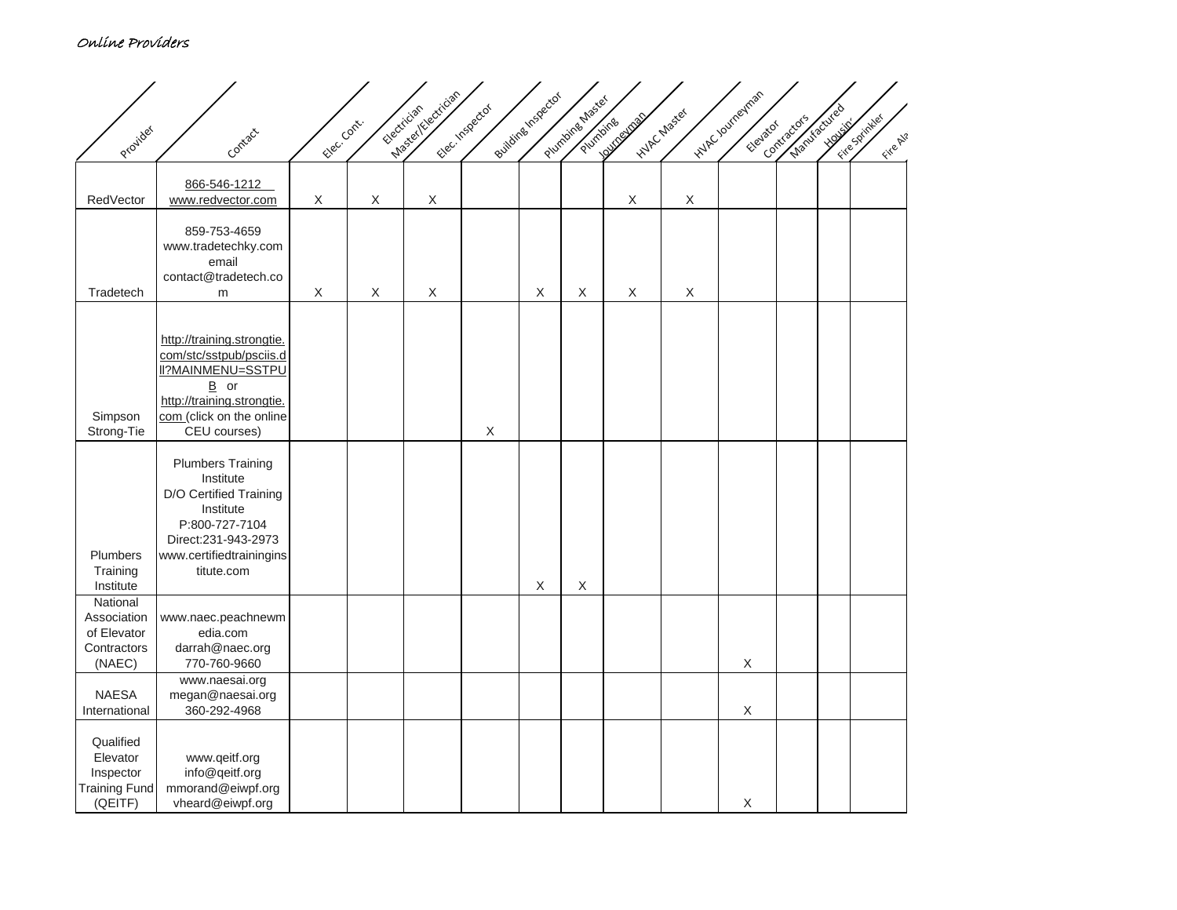## Online Providers

| Provider                                                              | Contact                                                                                                                                                               | Elec. Contr. | Electrician | Masey (Electrician | Flectrispector | Building Inspector | Plumbing Master<br>Plumbing | Hylp chaster<br><b>LOVID SURVEYOR</b> |                           | inder roungings<br>Elevator | Manufacured<br>Contractors | <b>Housing</b> | Fire Sprintler<br>Fire Al? |
|-----------------------------------------------------------------------|-----------------------------------------------------------------------------------------------------------------------------------------------------------------------|--------------|-------------|--------------------|----------------|--------------------|-----------------------------|---------------------------------------|---------------------------|-----------------------------|----------------------------|----------------|----------------------------|
| RedVector                                                             | 866-546-1212<br>www.redvector.com                                                                                                                                     | X            | X           | $\mathsf X$        |                |                    |                             | X                                     | $\boldsymbol{\mathsf{X}}$ |                             |                            |                |                            |
| Tradetech                                                             | 859-753-4659<br>www.tradetechky.com<br>email<br>contact@tradetech.co<br>m                                                                                             | X            | $\mathsf X$ | X                  |                | X                  | X                           | X                                     | $\mathsf X$               |                             |                            |                |                            |
| Simpson<br>Strong-Tie                                                 | http://training.strongtie.<br>com/stc/sstpub/psciis.d<br><b>II?MAINMENU=SSTPU</b><br>$B$ or<br>http://training.strongtie.<br>com (click on the online<br>CEU courses) |              |             |                    | $\mathsf X$    |                    |                             |                                       |                           |                             |                            |                |                            |
| Plumbers<br>Training<br>Institute                                     | <b>Plumbers Training</b><br>Institute<br>D/O Certified Training<br>Institute<br>P:800-727-7104<br>Direct:231-943-2973<br>www.certifiedtrainingins<br>titute.com       |              |             |                    |                | X                  | $\mathsf X$                 |                                       |                           |                             |                            |                |                            |
| National<br>Association<br>of Elevator<br>Contractors<br>(NAEC)       | www.naec.peachnewm<br>edia.com<br>darrah@naec.org<br>770-760-9660                                                                                                     |              |             |                    |                |                    |                             |                                       |                           | X                           |                            |                |                            |
| <b>NAESA</b><br>International                                         | www.naesai.org<br>megan@naesai.org<br>360-292-4968                                                                                                                    |              |             |                    |                |                    |                             |                                       |                           | $\mathsf X$                 |                            |                |                            |
| Qualified<br>Elevator<br>Inspector<br><b>Training Fund</b><br>(QEITF) | www.qeitf.org<br>info@qeitf.org<br>mmorand@eiwpf.org<br>vheard@eiwpf.org                                                                                              |              |             |                    |                |                    |                             |                                       |                           | $\mathsf X$                 |                            |                |                            |